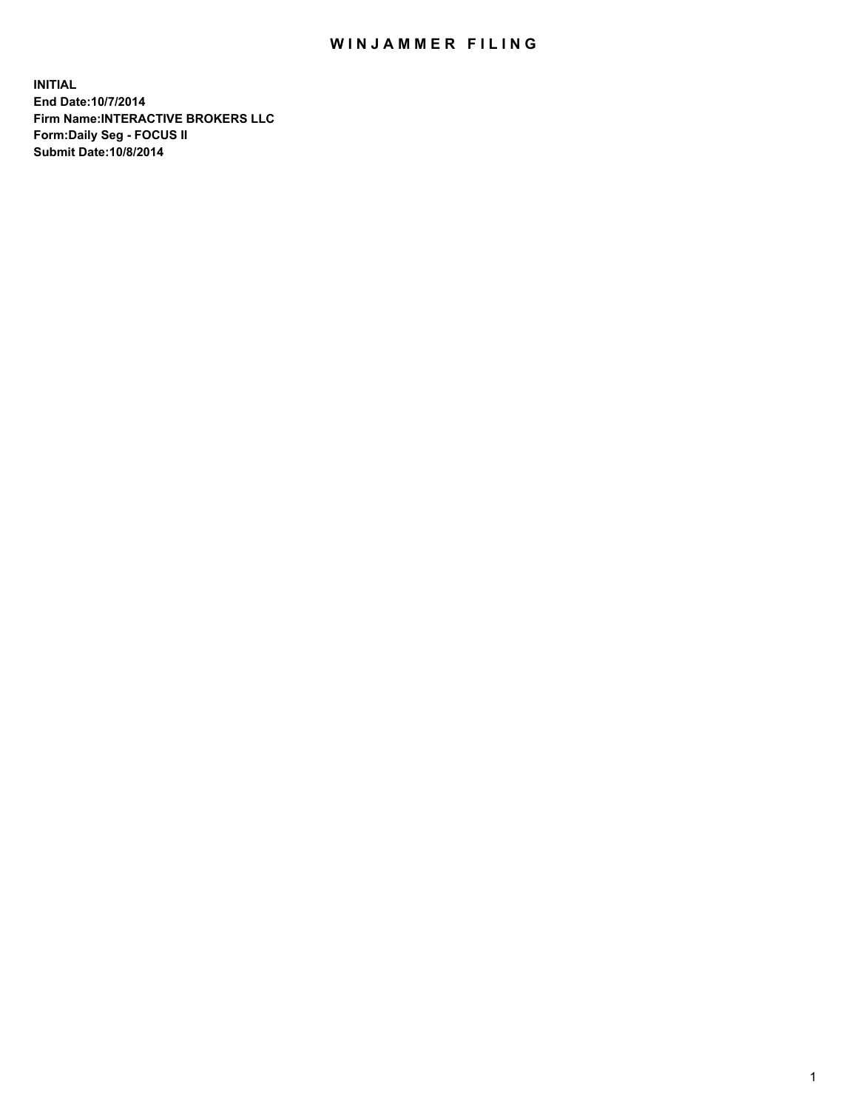## WIN JAMMER FILING

**INITIAL End Date:10/7/2014 Firm Name:INTERACTIVE BROKERS LLC Form:Daily Seg - FOCUS II Submit Date:10/8/2014**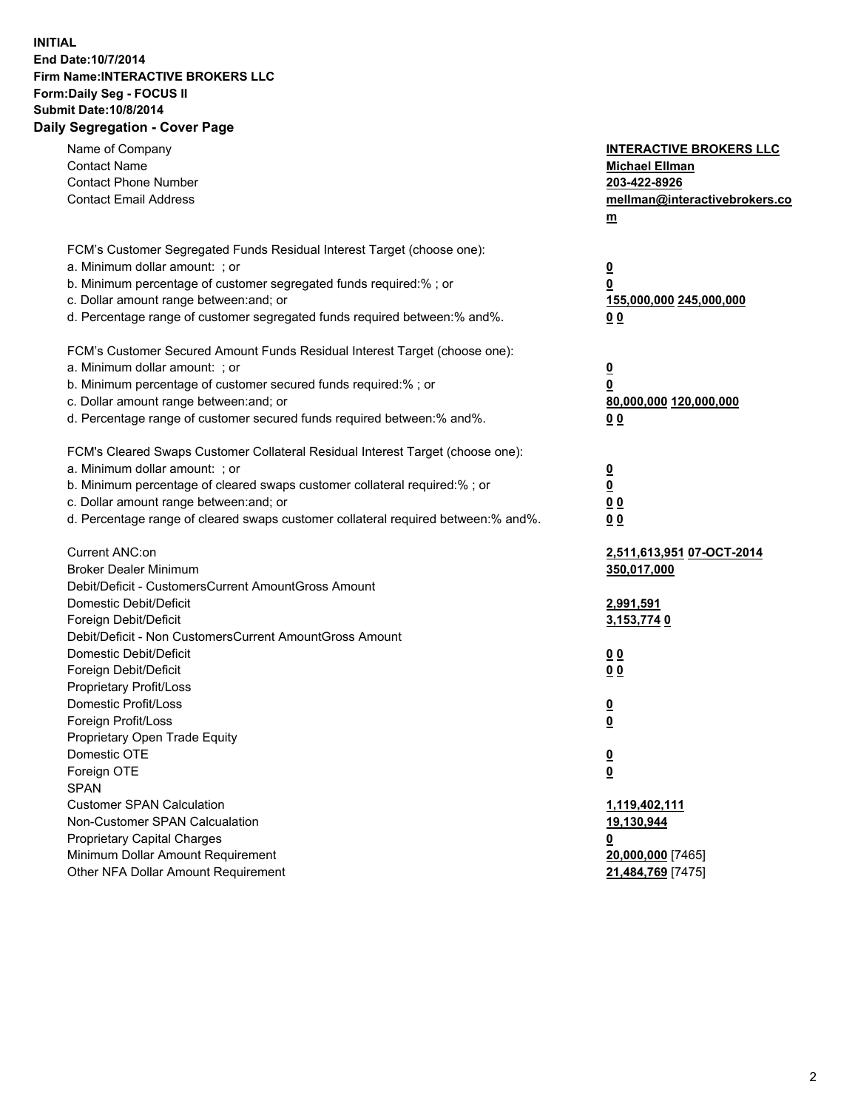## **INITIAL End Date:10/7/2014 Firm Name:INTERACTIVE BROKERS LLC Form:Daily Seg - FOCUS II Submit Date:10/8/2014 Daily Segregation - Cover Page**

| Name of Company<br><b>Contact Name</b>                                            | <b>INTERACTIVE BROKERS LLC</b><br><b>Michael Ellman</b> |
|-----------------------------------------------------------------------------------|---------------------------------------------------------|
| <b>Contact Phone Number</b>                                                       | 203-422-8926                                            |
| <b>Contact Email Address</b>                                                      | mellman@interactivebrokers.co                           |
|                                                                                   | $\underline{\mathbf{m}}$                                |
|                                                                                   |                                                         |
| FCM's Customer Segregated Funds Residual Interest Target (choose one):            |                                                         |
| a. Minimum dollar amount: ; or                                                    | $\overline{\mathbf{0}}$                                 |
| b. Minimum percentage of customer segregated funds required:% ; or                | 0                                                       |
| c. Dollar amount range between: and; or                                           | 155,000,000 245,000,000                                 |
| d. Percentage range of customer segregated funds required between:% and%.         | 00                                                      |
| FCM's Customer Secured Amount Funds Residual Interest Target (choose one):        |                                                         |
| a. Minimum dollar amount: ; or                                                    | $\overline{\mathbf{0}}$                                 |
| b. Minimum percentage of customer secured funds required:% ; or                   | 0                                                       |
| c. Dollar amount range between: and; or                                           | 80,000,000 120,000,000                                  |
| d. Percentage range of customer secured funds required between:% and%.            | 00                                                      |
|                                                                                   |                                                         |
| FCM's Cleared Swaps Customer Collateral Residual Interest Target (choose one):    |                                                         |
| a. Minimum dollar amount: ; or                                                    | $\overline{\mathbf{0}}$                                 |
| b. Minimum percentage of cleared swaps customer collateral required:% ; or        | $\underline{\mathbf{0}}$                                |
| c. Dollar amount range between: and; or                                           | 0 <sub>0</sub>                                          |
| d. Percentage range of cleared swaps customer collateral required between:% and%. | 0 <sub>0</sub>                                          |
| Current ANC:on                                                                    | 2,511,613,951 07-OCT-2014                               |
| <b>Broker Dealer Minimum</b>                                                      | 350,017,000                                             |
| Debit/Deficit - CustomersCurrent AmountGross Amount                               |                                                         |
| Domestic Debit/Deficit                                                            | <u>2,991,591</u>                                        |
| Foreign Debit/Deficit                                                             | 3,153,774 0                                             |
| Debit/Deficit - Non CustomersCurrent AmountGross Amount                           |                                                         |
| Domestic Debit/Deficit                                                            | 0 <sub>0</sub>                                          |
| Foreign Debit/Deficit                                                             | 0 <sub>0</sub>                                          |
| Proprietary Profit/Loss                                                           |                                                         |
| Domestic Profit/Loss                                                              | $\overline{\mathbf{0}}$                                 |
| Foreign Profit/Loss                                                               | $\underline{\mathbf{0}}$                                |
| Proprietary Open Trade Equity                                                     |                                                         |
| Domestic OTE                                                                      | <u>0</u>                                                |
| Foreign OTE                                                                       | <u>0</u>                                                |
| <b>SPAN</b>                                                                       |                                                         |
| <b>Customer SPAN Calculation</b>                                                  | 1,119,402,111                                           |
| Non-Customer SPAN Calcualation                                                    | 19,130,944                                              |
| <b>Proprietary Capital Charges</b>                                                | 0                                                       |
| Minimum Dollar Amount Requirement                                                 | 20,000,000 [7465]                                       |
| Other NFA Dollar Amount Requirement                                               | 21,484,769 [7475]                                       |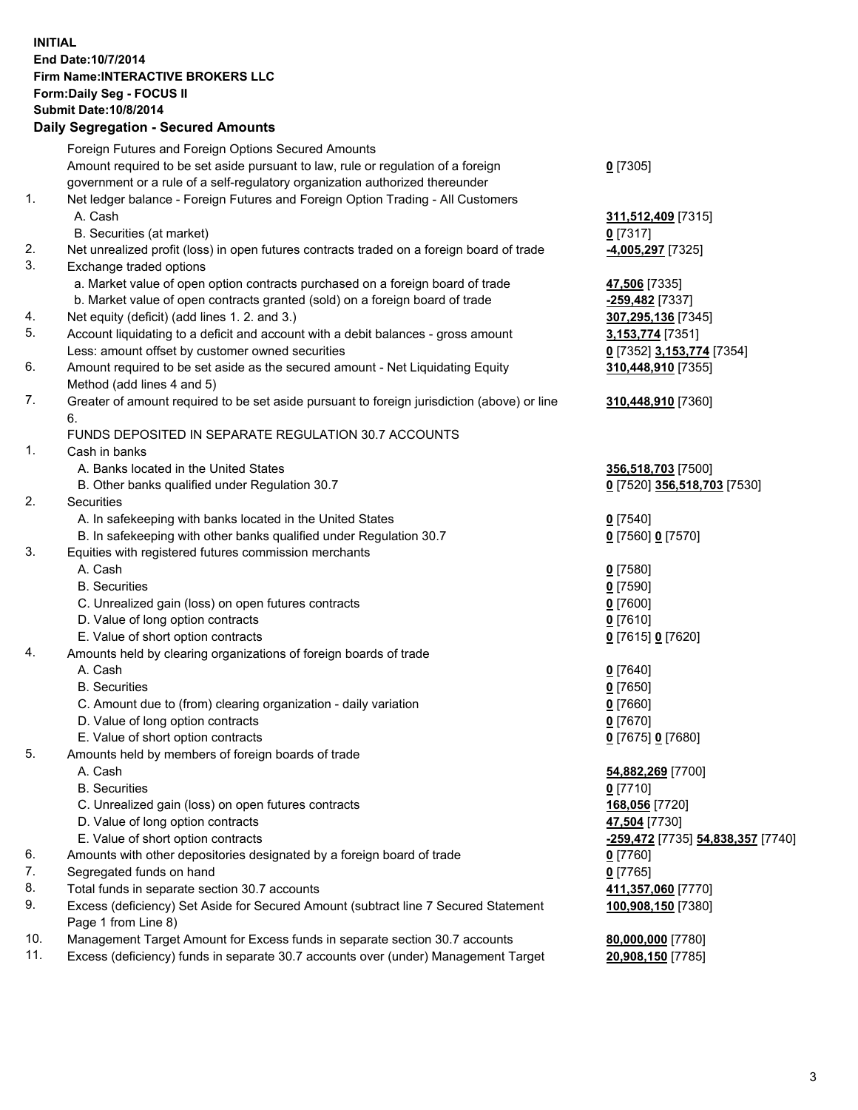## **INITIAL End Date:10/7/2014 Firm Name:INTERACTIVE BROKERS LLC Form:Daily Seg - FOCUS II Submit Date:10/8/2014 Daily Segregation - Secured Amounts**

|     | Dany Ocgregation - Oceanea Annoanta                                                                        |                                          |
|-----|------------------------------------------------------------------------------------------------------------|------------------------------------------|
|     | Foreign Futures and Foreign Options Secured Amounts                                                        |                                          |
|     | Amount required to be set aside pursuant to law, rule or regulation of a foreign                           | $0$ [7305]                               |
|     | government or a rule of a self-regulatory organization authorized thereunder                               |                                          |
| 1.  | Net ledger balance - Foreign Futures and Foreign Option Trading - All Customers                            |                                          |
|     | A. Cash                                                                                                    | 311,512,409 [7315]                       |
|     | B. Securities (at market)                                                                                  | $0$ [7317]                               |
| 2.  | Net unrealized profit (loss) in open futures contracts traded on a foreign board of trade                  | 4,005,297 [7325]                         |
| 3.  | Exchange traded options                                                                                    |                                          |
|     | a. Market value of open option contracts purchased on a foreign board of trade                             | 47,506 [7335]                            |
|     | b. Market value of open contracts granted (sold) on a foreign board of trade                               | <mark>-259,482</mark> [7337]             |
| 4.  | Net equity (deficit) (add lines 1.2. and 3.)                                                               | 307,295,136 [7345]                       |
| 5.  | Account liquidating to a deficit and account with a debit balances - gross amount                          | <u>3,153,774</u> [7351]                  |
|     | Less: amount offset by customer owned securities                                                           | 0 [7352] 3,153,774 [7354]                |
| 6.  | Amount required to be set aside as the secured amount - Net Liquidating Equity                             | 310,448,910 [7355]                       |
|     | Method (add lines 4 and 5)                                                                                 |                                          |
| 7.  | Greater of amount required to be set aside pursuant to foreign jurisdiction (above) or line                | 310,448,910 [7360]                       |
|     | 6.                                                                                                         |                                          |
|     | FUNDS DEPOSITED IN SEPARATE REGULATION 30.7 ACCOUNTS                                                       |                                          |
| 1.  | Cash in banks                                                                                              |                                          |
|     | A. Banks located in the United States                                                                      | 356,518,703 [7500]                       |
|     | B. Other banks qualified under Regulation 30.7                                                             | 0 [7520] 356,518,703 [7530]              |
| 2.  | Securities                                                                                                 |                                          |
|     | A. In safekeeping with banks located in the United States                                                  | $0$ [7540]                               |
|     | B. In safekeeping with other banks qualified under Regulation 30.7                                         | 0 [7560] 0 [7570]                        |
| 3.  | Equities with registered futures commission merchants                                                      |                                          |
|     | A. Cash                                                                                                    | $0$ [7580]                               |
|     | <b>B.</b> Securities                                                                                       | $0$ [7590]                               |
|     | C. Unrealized gain (loss) on open futures contracts                                                        | $0$ [7600]                               |
|     | D. Value of long option contracts                                                                          | $0$ [7610]                               |
|     | E. Value of short option contracts                                                                         | 0 [7615] 0 [7620]                        |
| 4.  | Amounts held by clearing organizations of foreign boards of trade                                          |                                          |
|     | A. Cash                                                                                                    | $0$ [7640]                               |
|     | <b>B.</b> Securities                                                                                       | $0$ [7650]                               |
|     | C. Amount due to (from) clearing organization - daily variation                                            | $0$ [7660]                               |
|     | D. Value of long option contracts                                                                          | $0$ [7670]                               |
|     | E. Value of short option contracts                                                                         | 0 [7675] 0 [7680]                        |
| 5.  | Amounts held by members of foreign boards of trade                                                         |                                          |
|     | A. Cash                                                                                                    | 54,882,269 [7700]                        |
|     | <b>B.</b> Securities                                                                                       | $0$ [7710]                               |
|     | C. Unrealized gain (loss) on open futures contracts                                                        | 168,056 [7720]                           |
|     | D. Value of long option contracts                                                                          | 47,504 [7730]                            |
|     | E. Value of short option contracts                                                                         | <u>-259,472</u> [7735] 54,838,357 [7740] |
| 6.  | Amounts with other depositories designated by a foreign board of trade                                     | $0$ [7760]                               |
| 7.  | Segregated funds on hand                                                                                   | $0$ [7765]                               |
| 8.  | Total funds in separate section 30.7 accounts                                                              | 411,357,060 [7770]                       |
| 9.  | Excess (deficiency) Set Aside for Secured Amount (subtract line 7 Secured Statement<br>Page 1 from Line 8) | 100,908,150 [7380]                       |
| 10. | Management Target Amount for Excess funds in separate section 30.7 accounts                                | 80,000,000 [7780]                        |
| 11. | Excess (deficiency) funds in separate 30.7 accounts over (under) Management Target                         | 20,908,150 [7785]                        |
|     |                                                                                                            |                                          |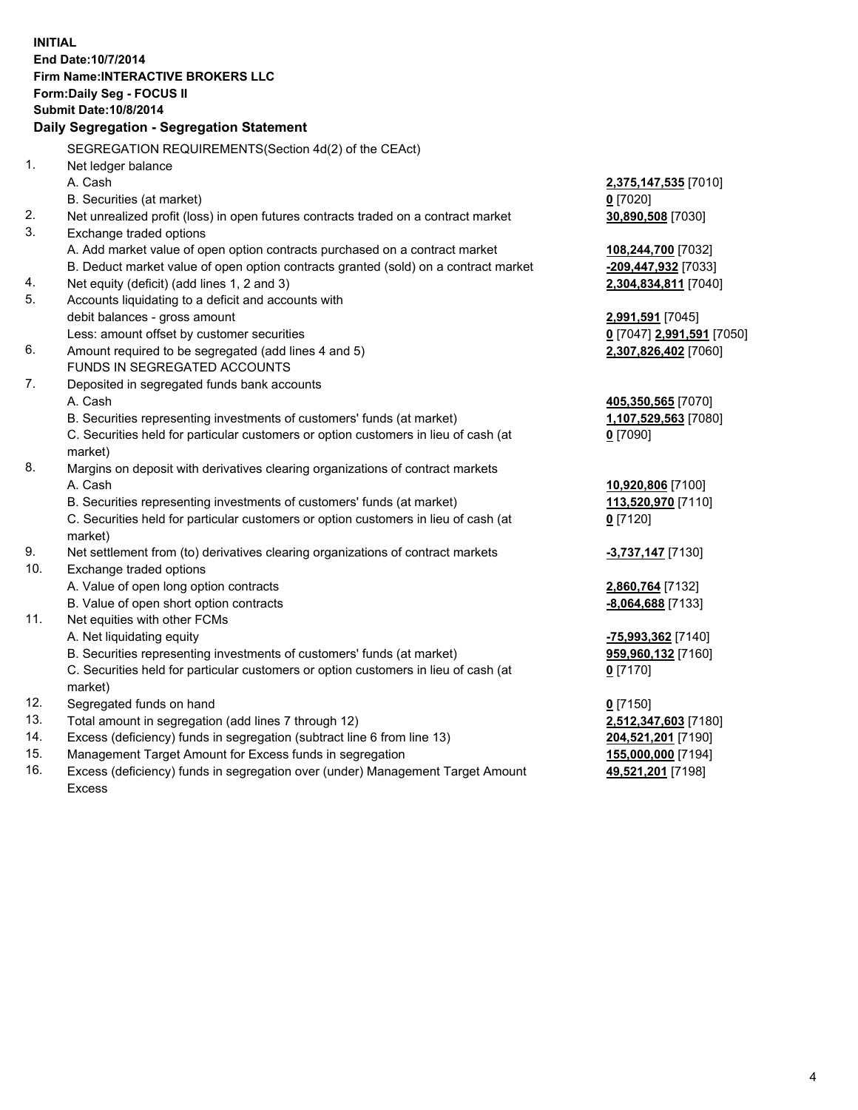**INITIAL End Date:10/7/2014 Firm Name:INTERACTIVE BROKERS LLC Form:Daily Seg - FOCUS II Submit Date:10/8/2014 Daily Segregation - Segregation Statement** SEGREGATION REQUIREMENTS(Section 4d(2) of the CEAct) 1. Net ledger balance A. Cash **2,375,147,535** [7010] B. Securities (at market) **0** [7020] 2. Net unrealized profit (loss) in open futures contracts traded on a contract market **30,890,508** [7030] 3. Exchange traded options A. Add market value of open option contracts purchased on a contract market **108,244,700** [7032] B. Deduct market value of open option contracts granted (sold) on a contract market **-209,447,932** [7033] 4. Net equity (deficit) (add lines 1, 2 and 3) **2,304,834,811** [7040] 5. Accounts liquidating to a deficit and accounts with debit balances - gross amount **2,991,591** [7045] Less: amount offset by customer securities **0** [7047] **2,991,591** [7050] 6. Amount required to be segregated (add lines 4 and 5) **2,307,826,402** [7060] FUNDS IN SEGREGATED ACCOUNTS 7. Deposited in segregated funds bank accounts A. Cash **405,350,565** [7070] B. Securities representing investments of customers' funds (at market) **1,107,529,563** [7080] C. Securities held for particular customers or option customers in lieu of cash (at market) **0** [7090] 8. Margins on deposit with derivatives clearing organizations of contract markets A. Cash **10,920,806** [7100] B. Securities representing investments of customers' funds (at market) **113,520,970** [7110] C. Securities held for particular customers or option customers in lieu of cash (at market) **0** [7120] 9. Net settlement from (to) derivatives clearing organizations of contract markets **-3,737,147** [7130] 10. Exchange traded options A. Value of open long option contracts **2,860,764** [7132] B. Value of open short option contracts **-8,064,688** [7133] 11. Net equities with other FCMs A. Net liquidating equity **-75,993,362** [7140] B. Securities representing investments of customers' funds (at market) **959,960,132** [7160] C. Securities held for particular customers or option customers in lieu of cash (at market) **0** [7170] 12. Segregated funds on hand **0** [7150] 13. Total amount in segregation (add lines 7 through 12) **2,512,347,603** [7180] 14. Excess (deficiency) funds in segregation (subtract line 6 from line 13) **204,521,201** [7190] 15. Management Target Amount for Excess funds in segregation **155,000,000** [7194]

16. Excess (deficiency) funds in segregation over (under) Management Target Amount Excess

**49,521,201** [7198]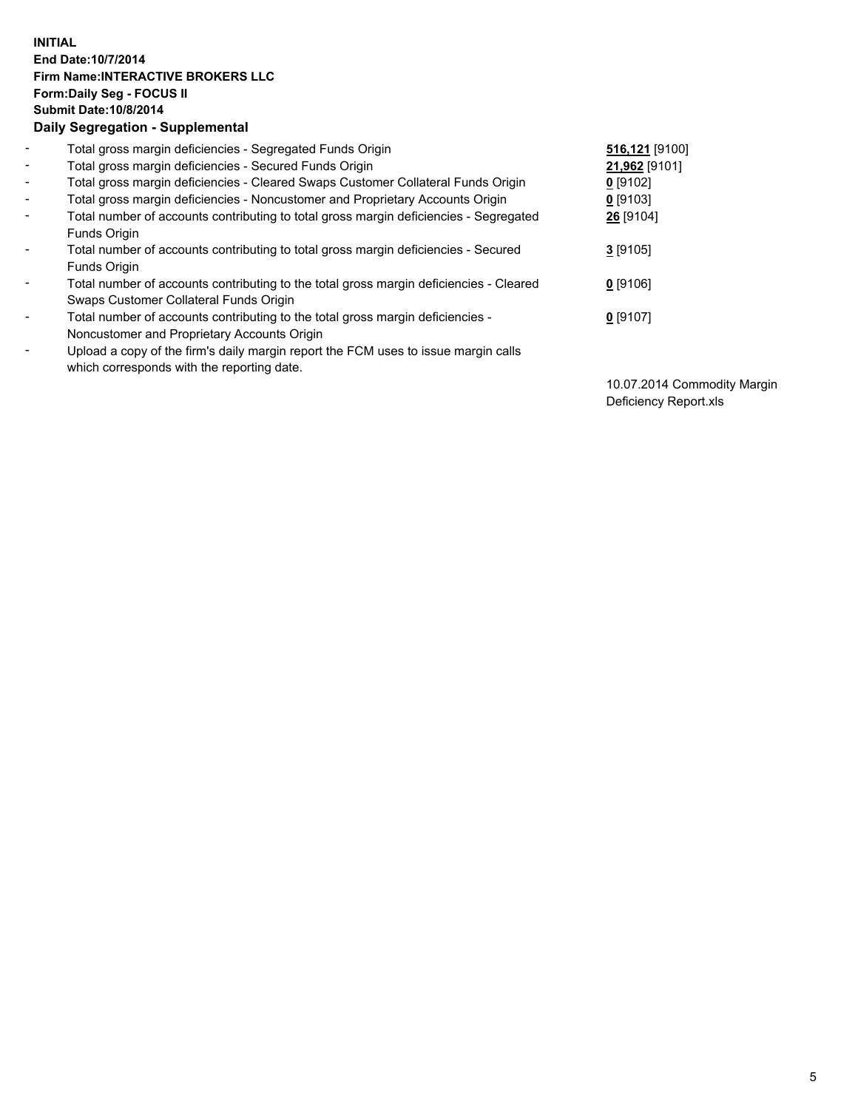## **INITIAL End Date:10/7/2014 Firm Name:INTERACTIVE BROKERS LLC Form:Daily Seg - FOCUS II Submit Date:10/8/2014 Daily Segregation - Supplemental**

| $\blacksquare$ | Total gross margin deficiencies - Segregated Funds Origin                              | 516,121 [9100] |
|----------------|----------------------------------------------------------------------------------------|----------------|
| $\sim$         | Total gross margin deficiencies - Secured Funds Origin                                 | 21,962 [9101]  |
| $\blacksquare$ | Total gross margin deficiencies - Cleared Swaps Customer Collateral Funds Origin       | $0$ [9102]     |
| $\blacksquare$ | Total gross margin deficiencies - Noncustomer and Proprietary Accounts Origin          | $0$ [9103]     |
| $\blacksquare$ | Total number of accounts contributing to total gross margin deficiencies - Segregated  | 26 [9104]      |
|                | Funds Origin                                                                           |                |
| $\blacksquare$ | Total number of accounts contributing to total gross margin deficiencies - Secured     | $3$ [9105]     |
|                | Funds Origin                                                                           |                |
| $\blacksquare$ | Total number of accounts contributing to the total gross margin deficiencies - Cleared | $0$ [9106]     |
|                | Swaps Customer Collateral Funds Origin                                                 |                |
| $\blacksquare$ | Total number of accounts contributing to the total gross margin deficiencies -         | $0$ [9107]     |
|                | Noncustomer and Proprietary Accounts Origin                                            |                |
| ۰              | Upload a copy of the firm's daily margin report the FCM uses to issue margin calls     |                |
|                | which corresponds with the reporting date.                                             |                |

10.07.2014 Commodity Margin Deficiency Report.xls